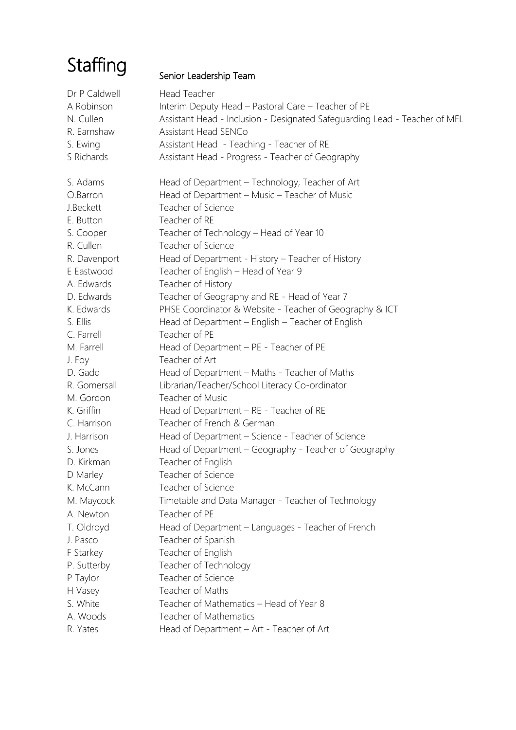# **Staffing**

# Senior Leadership Team

| Dr P Caldwell | Head Teacher                                                               |
|---------------|----------------------------------------------------------------------------|
| A Robinson    | Interim Deputy Head - Pastoral Care - Teacher of PE                        |
| N. Cullen     | Assistant Head - Inclusion - Designated Safeguarding Lead - Teacher of MFL |
| R. Earnshaw   | Assistant Head SENCo                                                       |
| S. Ewing      | Assistant Head - Teaching - Teacher of RE                                  |
| S Richards    | Assistant Head - Progress - Teacher of Geography                           |
|               |                                                                            |
| S. Adams      | Head of Department - Technology, Teacher of Art                            |
| O.Barron      | Head of Department - Music - Teacher of Music                              |
| J.Beckett     | Teacher of Science                                                         |
| E. Button     | Teacher of RE                                                              |
| S. Cooper     | Teacher of Technology - Head of Year 10                                    |
| R. Cullen     | Teacher of Science                                                         |
| R. Davenport  | Head of Department - History - Teacher of History                          |
| E Eastwood    | Teacher of English - Head of Year 9                                        |
| A. Edwards    | Teacher of History                                                         |
| D. Edwards    | Teacher of Geography and RE - Head of Year 7                               |
| K. Edwards    | PHSE Coordinator & Website - Teacher of Geography & ICT                    |
| S. Ellis      | Head of Department - English - Teacher of English                          |
| C. Farrell    | Teacher of PE                                                              |
| M. Farrell    | Head of Department - PE - Teacher of PE                                    |
| J. Foy        | Teacher of Art                                                             |
| D. Gadd       | Head of Department - Maths - Teacher of Maths                              |
| R. Gomersall  | Librarian/Teacher/School Literacy Co-ordinator                             |
| M. Gordon     | Teacher of Music                                                           |
| K. Griffin    | Head of Department - RE - Teacher of RE                                    |
| C. Harrison   | Teacher of French & German                                                 |
| J. Harrison   | Head of Department - Science - Teacher of Science                          |
| S. Jones      | Head of Department - Geography - Teacher of Geography                      |
| D. Kirkman    | Teacher of English                                                         |
| D Marley      | Teacher of Science                                                         |
| K. McCann     | Teacher of Science                                                         |
| M. Maycock    | Timetable and Data Manager - Teacher of Technology                         |
| A. Newton     | Teacher of PE                                                              |
| T. Oldroyd    | Head of Department - Languages - Teacher of French                         |
| J. Pasco      | Teacher of Spanish                                                         |
| F Starkey     | Teacher of English                                                         |
| P. Sutterby   | Teacher of Technology                                                      |
| P Taylor      | Teacher of Science                                                         |
| H Vasey       | Teacher of Maths                                                           |
| S. White      | Teacher of Mathematics - Head of Year 8                                    |
| A. Woods      | Teacher of Mathematics                                                     |
| R. Yates      | Head of Department - Art - Teacher of Art                                  |